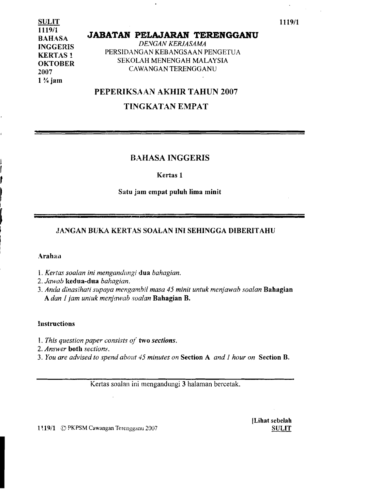$\overline{\text{SULIT}}$  1119/1 1119/1 BAHASA INGGERIS KERTAS 1 **OKTOBER** 2007  $1\%$  jam

#### **JABATAN PELAJARAN TERENGGANU**

*DEVGAN KERJASAMA*  PERSIDANGAN KEBANGSAAN PENGETUA SEKOLAH MENENGAH MALAYSIA CAWANGANTERENGGANU

## PEPERIKSAAN AKHIR TAHUN 2007

# TINGKATANEMPAT

# BAHASA INGGERIS , BAHASA ING<br>|<br>|<br>|}

#### Satu jam ernpat puluh lima minit

#### .lANGAN BUKA KERTAS SOALAN INI SEHINGGA DIBERITAHU

#### Arahan

|<br>|<br>| I

r !

f

- *1. Kertas soalan ini mengandungi* dua *bahagian.*
- *2. Jawab* kedua-dua *bahagian.*
- *3. Anda dinasihati supaya mengambil masa* 45 *mini! untuk menjawab soalan* Bahagian A *dan* 1 *jam untuk menjawab soalan* Bahagian B.

#### **Instructions**

- 1. *This question paper consists of* two *sections.*
- *2. Answer* both *sections.*
- *3. You are advised to spend about* 45*minutes on* Section A *and 1 hour on* Section B.

Kertas soalan ini mengandungi 3 halaman bercetak.

[Lihat sebelah

1!19/1 © PKPSM Cawangan Terengganu 2007 SULIT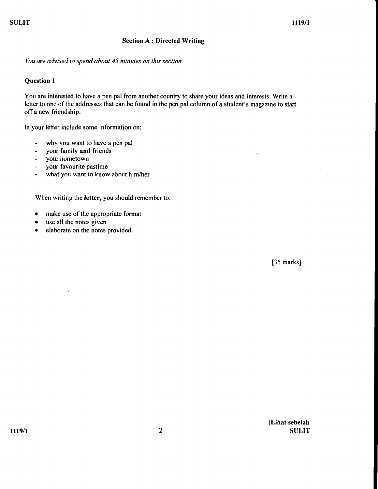#### Section A: Directed Writing

*You are advised to spend about* 45 *minutes on this section.* 

#### Question 1

You are interested to have a pen pal from another country to share your ideas and interests. Write a letter to one of the addresses that can be found in the pen pal column of a student's magazine to start off a new friendship.

In your letter include some information on:

- why you want to have a pen pal  $\ddot{\phantom{1}}$
- $\overline{a}$ your family and friends
- your hometown  $\ddot{\phantom{1}}$
- your favourite pastime  $\tilde{\phantom{a}}$
- what you want to know about him/her  $\mathbf{r}$

When writing the letter, you should remember to:

- make use of the appropriate format
- use all the notes given
- elaborate on the notes provided

[35 marks]

[Lihat sebelah  $1119/1$  SULIT

 $\sim$